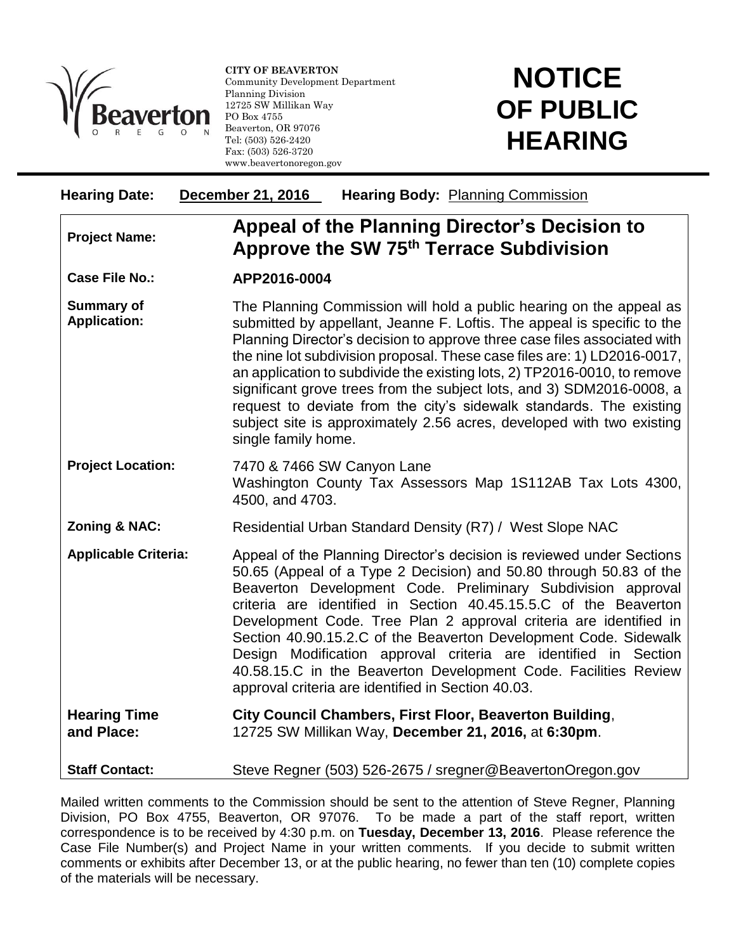

l

**CITY OF BEAVERTON** Community Development Department Planning Division 12725 SW Millikan Way PO Box 4755 Beaverton, OR 97076 Tel: (503) 526-2420 Fax: (503) 526-3720 www.beavertonoregon.gov

## **NOTICE OF PUBLIC HEARING**

| <b>Hearing Date:</b>                     | <b>December 21, 2016</b><br><b>Hearing Body: Planning Commission</b>                                                                                                                                                                                                                                                                                                                                                                                                                                                                                                                                                               |
|------------------------------------------|------------------------------------------------------------------------------------------------------------------------------------------------------------------------------------------------------------------------------------------------------------------------------------------------------------------------------------------------------------------------------------------------------------------------------------------------------------------------------------------------------------------------------------------------------------------------------------------------------------------------------------|
| <b>Project Name:</b>                     | Appeal of the Planning Director's Decision to<br>Approve the SW 75th Terrace Subdivision                                                                                                                                                                                                                                                                                                                                                                                                                                                                                                                                           |
| <b>Case File No.:</b>                    | APP2016-0004                                                                                                                                                                                                                                                                                                                                                                                                                                                                                                                                                                                                                       |
| <b>Summary of</b><br><b>Application:</b> | The Planning Commission will hold a public hearing on the appeal as<br>submitted by appellant, Jeanne F. Loftis. The appeal is specific to the<br>Planning Director's decision to approve three case files associated with<br>the nine lot subdivision proposal. These case files are: 1) LD2016-0017,<br>an application to subdivide the existing lots, 2) TP2016-0010, to remove<br>significant grove trees from the subject lots, and 3) SDM2016-0008, a<br>request to deviate from the city's sidewalk standards. The existing<br>subject site is approximately 2.56 acres, developed with two existing<br>single family home. |
| <b>Project Location:</b>                 | 7470 & 7466 SW Canyon Lane<br>Washington County Tax Assessors Map 1S112AB Tax Lots 4300,<br>4500, and 4703.                                                                                                                                                                                                                                                                                                                                                                                                                                                                                                                        |
| Zoning & NAC:                            | Residential Urban Standard Density (R7) / West Slope NAC                                                                                                                                                                                                                                                                                                                                                                                                                                                                                                                                                                           |
| <b>Applicable Criteria:</b>              | Appeal of the Planning Director's decision is reviewed under Sections<br>50.65 (Appeal of a Type 2 Decision) and 50.80 through 50.83 of the<br>Beaverton Development Code. Preliminary Subdivision approval<br>criteria are identified in Section 40.45.15.5.C of the Beaverton<br>Development Code. Tree Plan 2 approval criteria are identified in<br>Section 40.90.15.2.C of the Beaverton Development Code. Sidewalk<br>Design Modification approval criteria are identified in Section<br>40.58.15.C in the Beaverton Development Code. Facilities Review<br>approval criteria are identified in Section 40.03.               |
| <b>Hearing Time</b><br>and Place:        | City Council Chambers, First Floor, Beaverton Building,<br>12725 SW Millikan Way, December 21, 2016, at 6:30pm.                                                                                                                                                                                                                                                                                                                                                                                                                                                                                                                    |
| <b>Staff Contact:</b>                    | Steve Regner (503) 526-2675 / sregner@BeavertonOregon.gov                                                                                                                                                                                                                                                                                                                                                                                                                                                                                                                                                                          |

Mailed written comments to the Commission should be sent to the attention of Steve Regner, Planning Division, PO Box 4755, Beaverton, OR 97076. To be made a part of the staff report, written correspondence is to be received by 4:30 p.m. on **Tuesday, December 13, 2016**. Please reference the Case File Number(s) and Project Name in your written comments. If you decide to submit written comments or exhibits after December 13, or at the public hearing, no fewer than ten (10) complete copies of the materials will be necessary.